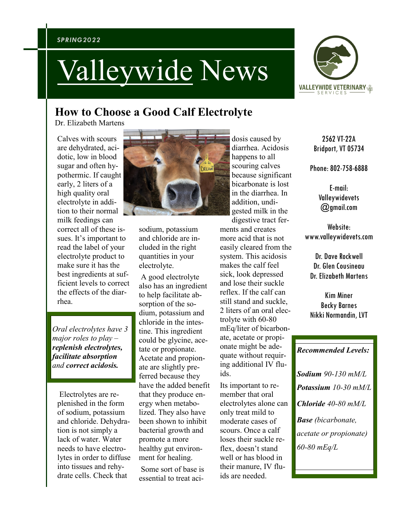#### *SPRING2022*

# Valleywide News



## **How to Choose a Good Calf Electrolyte**

Dr. Elizabeth Martens

Calves with scours are dehydrated, acidotic, low in blood sugar and often hypothermic. If caught early, 2 liters of a high quality oral electrolyte in addition to their normal milk feedings can correct all of these issues. It's important to read the label of your electrolyte product to make sure it has the best ingredients at sufficient levels to correct the effects of the diarrhea.

*Oral electrolytes have 3 major roles to play – replenish electrolytes, facilitate absorption and correct acidosis.*

Electrolytes are replenished in the form of sodium, potassium and chloride. Dehydration is not simply a lack of water. Water needs to have electrolytes in order to diffuse into tissues and rehydrate cells. Check that



sodium, potassium and chloride are included in the right quantities in your electrolyte.

A good electrolyte also has an ingredient to help facilitate absorption of the sodium, potassium and chloride in the intestine. This ingredient could be glycine, acetate or propionate. Acetate and propionate are slightly preferred because they have the added benefit that they produce energy when metabolized. They also have been shown to inhibit bacterial growth and promote a more healthy gut environment for healing.

Some sort of base is essential to treat aci-

diarrhea. Acidosis happens to all scouring calves because significant bicarbonate is lost in the diarrhea. In addition, undigested milk in the digestive tract ferments and creates more acid that is not easily cleared from the system. This acidosis makes the calf feel sick, look depressed and lose their suckle reflex. If the calf can still stand and suckle, 2 liters of an oral electrolyte with 60-80 mEq/liter of bicarbonate, acetate or propionate might be adequate without requiring additional IV fluids.

dosis caused by

Its important to remember that oral electrolytes alone can only treat mild to moderate cases of scours. Once a calf loses their suckle reflex, doesn't stand well or has blood in their manure, IV fluids are needed.

2562 VT-22A Bridport, VT 05734

Phone: 802-758-6888

E-mail: Valleywidevets @gmail.com

Website: www.valleywidevets.com

Dr. Dave Rockwell Dr. Glen Cousineau Dr. Elizabeth Martens

Kim Miner Becky Barnes Nikki Normandin, LVT

### *Recommended Levels:*

*Sodium 90-130 mM/L Potassium 10-30 mM/L Chloride 40-80 mM/L Base (bicarbonate, acetate or propionate) 60-80 mEq/L*